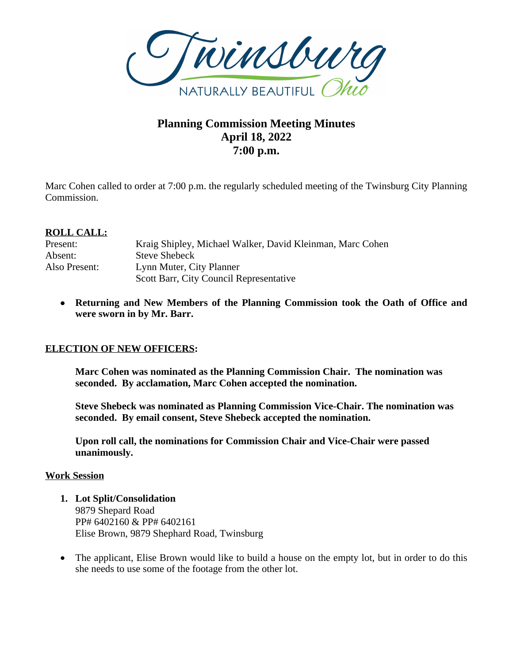

# **Planning Commission Meeting Minutes April 18, 2022 7:00 p.m.**

Marc Cohen called to order at 7:00 p.m. the regularly scheduled meeting of the Twinsburg City Planning Commission.

## **ROLL CALL:**

| Present:      | Kraig Shipley, Michael Walker, David Kleinman, Marc Cohen |
|---------------|-----------------------------------------------------------|
| Absent:       | <b>Steve Shebeck</b>                                      |
| Also Present: | Lynn Muter, City Planner                                  |
|               | Scott Barr, City Council Representative                   |

 **Returning and New Members of the Planning Commission took the Oath of Office and were sworn in by Mr. Barr.**

### **ELECTION OF NEW OFFICERS:**

**Marc Cohen was nominated as the Planning Commission Chair. The nomination was seconded. By acclamation, Marc Cohen accepted the nomination.**

**Steve Shebeck was nominated as Planning Commission Vice-Chair. The nomination was seconded. By email consent, Steve Shebeck accepted the nomination.**

**Upon roll call, the nominations for Commission Chair and Vice-Chair were passed unanimously.** 

#### **Work Session**

- **1. Lot Split/Consolidation** 9879 Shepard Road PP# 6402160 & PP# 6402161 Elise Brown, 9879 Shephard Road, Twinsburg
- The applicant, Elise Brown would like to build a house on the empty lot, but in order to do this she needs to use some of the footage from the other lot.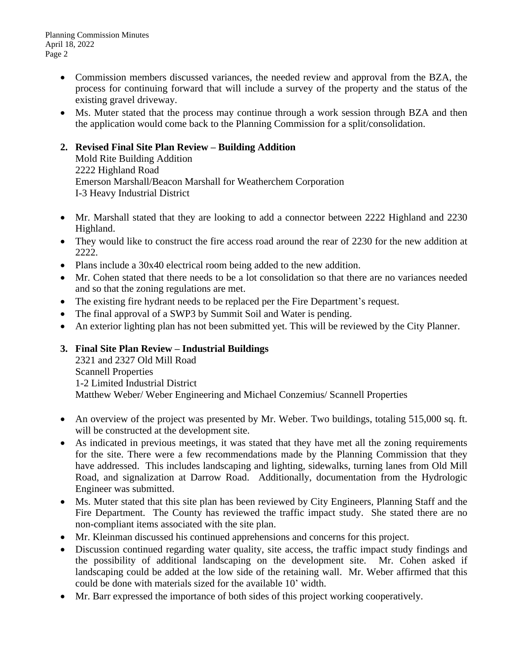- Commission members discussed variances, the needed review and approval from the BZA, the process for continuing forward that will include a survey of the property and the status of the existing gravel driveway.
- Ms. Muter stated that the process may continue through a work session through BZA and then the application would come back to the Planning Commission for a split/consolidation.

# **2. Revised Final Site Plan Review – Building Addition**

Mold Rite Building Addition 2222 Highland Road Emerson Marshall/Beacon Marshall for Weatherchem Corporation I-3 Heavy Industrial District

- Mr. Marshall stated that they are looking to add a connector between 2222 Highland and 2230 Highland.
- They would like to construct the fire access road around the rear of 2230 for the new addition at 2222.
- Plans include a 30x40 electrical room being added to the new addition.
- Mr. Cohen stated that there needs to be a lot consolidation so that there are no variances needed and so that the zoning regulations are met.
- The existing fire hydrant needs to be replaced per the Fire Department's request.
- The final approval of a SWP3 by Summit Soil and Water is pending.
- An exterior lighting plan has not been submitted yet. This will be reviewed by the City Planner.

# **3. Final Site Plan Review – Industrial Buildings**

2321 and 2327 Old Mill Road Scannell Properties 1-2 Limited Industrial District Matthew Weber/ Weber Engineering and Michael Conzemius/ Scannell Properties

- An overview of the project was presented by Mr. Weber. Two buildings, totaling 515,000 sq. ft. will be constructed at the development site.
- As indicated in previous meetings, it was stated that they have met all the zoning requirements for the site. There were a few recommendations made by the Planning Commission that they have addressed. This includes landscaping and lighting, sidewalks, turning lanes from Old Mill Road, and signalization at Darrow Road. Additionally, documentation from the Hydrologic Engineer was submitted.
- Ms. Muter stated that this site plan has been reviewed by City Engineers, Planning Staff and the Fire Department. The County has reviewed the traffic impact study. She stated there are no non-compliant items associated with the site plan.
- Mr. Kleinman discussed his continued apprehensions and concerns for this project.
- Discussion continued regarding water quality, site access, the traffic impact study findings and the possibility of additional landscaping on the development site. Mr. Cohen asked if landscaping could be added at the low side of the retaining wall. Mr. Weber affirmed that this could be done with materials sized for the available 10' width.
- Mr. Barr expressed the importance of both sides of this project working cooperatively.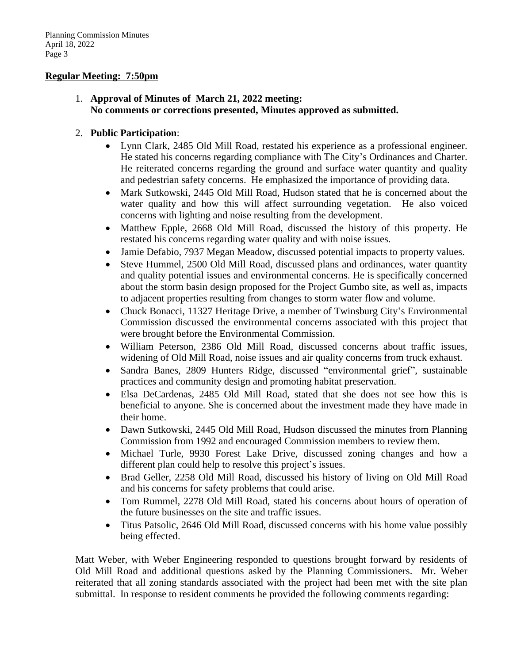#### **Regular Meeting: 7:50pm**

1. **Approval of Minutes of March 21, 2022 meeting: No comments or corrections presented, Minutes approved as submitted.**

#### 2. **Public Participation**:

- Lynn Clark, 2485 Old Mill Road, restated his experience as a professional engineer. He stated his concerns regarding compliance with The City's Ordinances and Charter. He reiterated concerns regarding the ground and surface water quantity and quality and pedestrian safety concerns. He emphasized the importance of providing data.
- Mark Sutkowski, 2445 Old Mill Road, Hudson stated that he is concerned about the water quality and how this will affect surrounding vegetation. He also voiced concerns with lighting and noise resulting from the development.
- Matthew Epple, 2668 Old Mill Road, discussed the history of this property. He restated his concerns regarding water quality and with noise issues.
- Jamie Defabio, 7937 Megan Meadow, discussed potential impacts to property values.
- Steve Hummel, 2500 Old Mill Road, discussed plans and ordinances, water quantity and quality potential issues and environmental concerns. He is specifically concerned about the storm basin design proposed for the Project Gumbo site, as well as, impacts to adjacent properties resulting from changes to storm water flow and volume.
- Chuck Bonacci, 11327 Heritage Drive, a member of Twinsburg City's Environmental Commission discussed the environmental concerns associated with this project that were brought before the Environmental Commission.
- William Peterson, 2386 Old Mill Road, discussed concerns about traffic issues, widening of Old Mill Road, noise issues and air quality concerns from truck exhaust.
- Sandra Banes, 2809 Hunters Ridge, discussed "environmental grief", sustainable practices and community design and promoting habitat preservation.
- Elsa DeCardenas, 2485 Old Mill Road, stated that she does not see how this is beneficial to anyone. She is concerned about the investment made they have made in their home.
- Dawn Sutkowski, 2445 Old Mill Road, Hudson discussed the minutes from Planning Commission from 1992 and encouraged Commission members to review them.
- Michael Turle, 9930 Forest Lake Drive, discussed zoning changes and how a different plan could help to resolve this project's issues.
- Brad Geller, 2258 Old Mill Road, discussed his history of living on Old Mill Road and his concerns for safety problems that could arise.
- Tom Rummel, 2278 Old Mill Road, stated his concerns about hours of operation of the future businesses on the site and traffic issues.
- Titus Patsolic, 2646 Old Mill Road, discussed concerns with his home value possibly being effected.

Matt Weber, with Weber Engineering responded to questions brought forward by residents of Old Mill Road and additional questions asked by the Planning Commissioners. Mr. Weber reiterated that all zoning standards associated with the project had been met with the site plan submittal. In response to resident comments he provided the following comments regarding: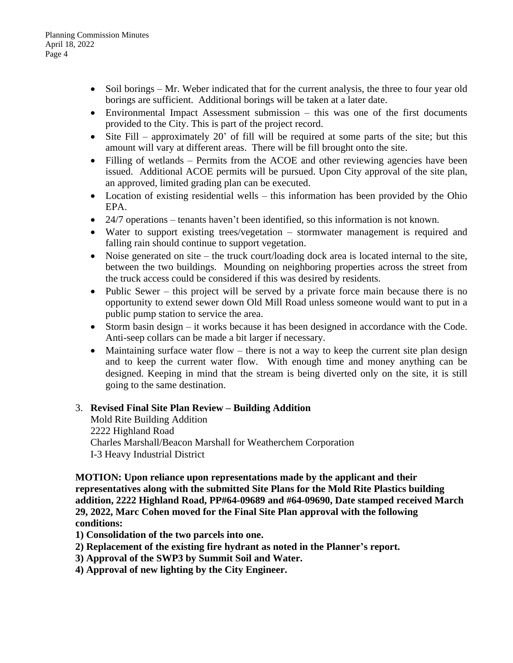- Soil borings Mr. Weber indicated that for the current analysis, the three to four year old borings are sufficient. Additional borings will be taken at a later date.
- Environmental Impact Assessment submission this was one of the first documents provided to the City. This is part of the project record.
- $\bullet$  Site Fill approximately 20' of fill will be required at some parts of the site; but this amount will vary at different areas. There will be fill brought onto the site.
- Filling of wetlands Permits from the ACOE and other reviewing agencies have been issued. Additional ACOE permits will be pursued. Upon City approval of the site plan, an approved, limited grading plan can be executed.
- Location of existing residential wells this information has been provided by the Ohio EPA.
- 24/7 operations tenants haven't been identified, so this information is not known.
- Water to support existing trees/vegetation stormwater management is required and falling rain should continue to support vegetation.
- Noise generated on site the truck court/loading dock area is located internal to the site, between the two buildings. Mounding on neighboring properties across the street from the truck access could be considered if this was desired by residents.
- Public Sewer this project will be served by a private force main because there is no opportunity to extend sewer down Old Mill Road unless someone would want to put in a public pump station to service the area.
- Storm basin design it works because it has been designed in accordance with the Code. Anti-seep collars can be made a bit larger if necessary.
- Maintaining surface water flow there is not a way to keep the current site plan design and to keep the current water flow. With enough time and money anything can be designed. Keeping in mind that the stream is being diverted only on the site, it is still going to the same destination.

### 3. **Revised Final Site Plan Review – Building Addition**

Mold Rite Building Addition 2222 Highland Road Charles Marshall/Beacon Marshall for Weatherchem Corporation I-3 Heavy Industrial District

**MOTION: Upon reliance upon representations made by the applicant and their representatives along with the submitted Site Plans for the Mold Rite Plastics building addition, 2222 Highland Road, PP#64-09689 and #64-09690, Date stamped received March 29, 2022, Marc Cohen moved for the Final Site Plan approval with the following conditions:**

**1) Consolidation of the two parcels into one.**

- **2) Replacement of the existing fire hydrant as noted in the Planner's report.**
- **3) Approval of the SWP3 by Summit Soil and Water.**
- **4) Approval of new lighting by the City Engineer.**